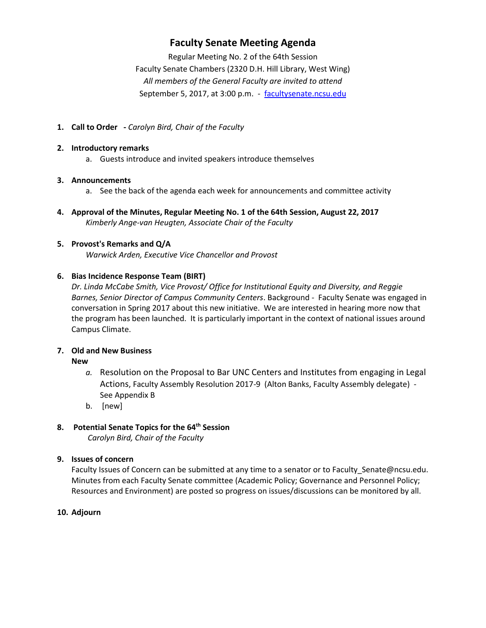## **Faculty Senate Meeting Agenda**

Regular Meeting No. 2 of the 64th Session Faculty Senate Chambers (2320 D.H. Hill Library, West Wing) *All members of the General Faculty are invited to attend* September 5, 2017, at 3:00 p.m. - [facultysenate.ncsu.edu](https://facultysenate.ncsu.edu/)

**1. Call to Order -** *Carolyn Bird, Chair of the Faculty*

#### **2. Introductory remarks**

a. Guests introduce and invited speakers introduce themselves

## **3. Announcements**

- a. See the back of the agenda each week for announcements and committee activity
- **4. Approval of the Minutes, Regular Meeting No. 1 of the 64th Session, August 22, 2017** *Kimberly Ange-van Heugten, Associate Chair of the Faculty*

## **5. Provost's Remarks and Q/A**

*Warwick Arden, Executive Vice Chancellor and Provost*

## **6. Bias Incidence Response Team (BIRT)**

*Dr. Linda McCabe Smith, Vice Provost/ Office for Institutional Equity and Diversity, and Reggie Barnes, Senior Director of Campus Community Centers*. Background ‐ Faculty Senate was engaged in conversation in Spring 2017 about this new initiative. We are interested in hearing more now that the program has been launched. It is particularly important in the context of national issues around Campus Climate.

## **7. Old and New Business**

**New**

- *a.* Resolution on the Proposal to Bar UNC Centers and Institutes from engaging in Legal Actions, Faculty Assembly Resolution 2017-9 (Alton Banks, Faculty Assembly delegate) - See Appendix B
- b. [new]

## **8. Potential Senate Topics for the 64th Session**

*Carolyn Bird, Chair of the Faculty*

## **9. Issues of concern**

Faculty Issues of Concern can be submitted at any time to a senator or to Faculty\_Senate@ncsu.edu. Minutes from each Faculty Senate committee (Academic Policy; Governance and Personnel Policy; Resources and Environment) are posted so progress on issues/discussions can be monitored by all.

#### **10. Adjourn**